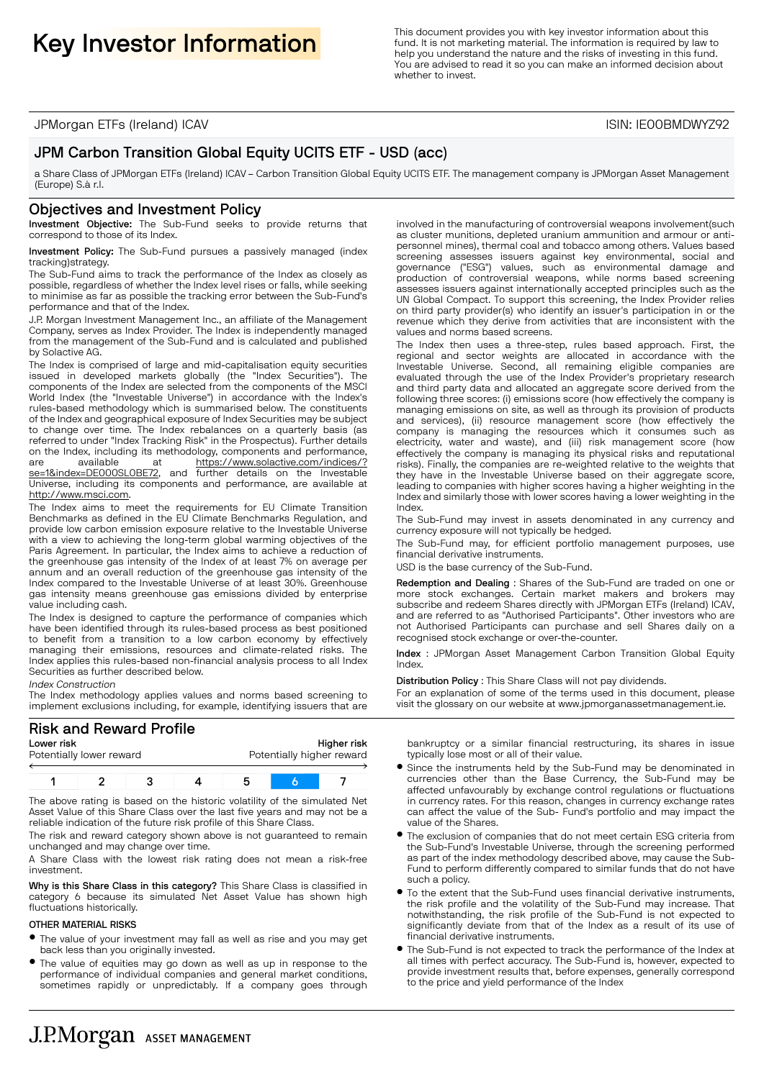This document provides you with key investor information about this **Key Investor Information** about this function **in the secure of the secure of the secure of the secure of the secure of the function** is required by law fund. It is not marketing material. The information is required by law to help you understand the nature and the risks of investing in this fund. You are advised to read it so you can make an informed decision about whether to invest.

JPMorgan ETFs (Ireland) ICAV ISIN: IE00BMDWYZ92

# JPM Carbon Transition Global Equity UCITS ETF - USD (acc)

a Share Class of JPMorgan ETFs (Ireland) ICAV – Carbon Transition Global Equity UCITS ETF. The management company is JPMorgan Asset Management (Europe) S.à r.l.

#### Objectives and Investment Policy

Investment Objective: The Sub-Fund seeks to provide returns that correspond to those of its Index.

Investment Policy: The Sub-Fund pursues a passively managed (index tracking)strategy.

The Sub-Fund aims to track the performance of the Index as closely as possible, regardless of whether the Index level rises or falls, while seeking to minimise as far as possible the tracking error between the Sub-Fund's performance and that of the Index.

J.P. Morgan Investment Management Inc., an affiliate of the Management Company, serves as Index Provider. The Index is independently managed from the management of the Sub-Fund and is calculated and published by Solactive AG.

The Index is comprised of large and mid-capitalisation equity securities issued in developed markets globally (the "Index Securities"). The components of the Index are selected from the components of the MSCI World Index (the "Investable Universe") in accordance with the Index's rules-based methodology which is summarised below. The constituents of the Index and geographical exposure of Index Securities may be subject to change over time. The Index rebalances on a quarterly basis (as referred to under "Index Tracking Risk" in the Prospectus). Further details on the Index, including its methodology, components and performance, are available at https://www.solactive.com/indices/? se=1&index=DE000SL0BE72, and further details on the Investable Universe, including its components and performance, are available at http://www.msci.com.

The Index aims to meet the requirements for EU Climate Transition Benchmarks as defined in the EU Climate Benchmarks Regulation, and provide low carbon emission exposure relative to the Investable Universe with a view to achieving the long-term global warming objectives of the Paris Agreement. In particular, the Index aims to achieve a reduction of the greenhouse gas intensity of the Index of at least 7% on average per annum and an overall reduction of the greenhouse gas intensity of the Index compared to the Investable Universe of at least 30%. Greenhouse gas intensity means greenhouse gas emissions divided by enterprise value including cash.

The Index is designed to capture the performance of companies which have been identified through its rules-based process as best positioned to benefit from a transition to a low carbon economy by effectively managing their emissions, resources and climate-related risks. The Index applies this rules-based non-financial analysis process to all Index Securities as further described below.

Index Construction

The Index methodology applies values and norms based screening to implement exclusions including, for example, identifying issuers that are

# Risk and Reward Profile

| Lower risk |                          |  | Higher risk               |  |  |  |
|------------|--------------------------|--|---------------------------|--|--|--|
|            | Potentially lower reward |  | Potentially higher reward |  |  |  |
|            |                          |  |                           |  |  |  |
|            |                          |  |                           |  |  |  |

The above rating is based on the historic volatility of the simulated Net Asset Value of this Share Class over the last five years and may not be a reliable indication of the future risk profile of this Share Class.

The risk and reward category shown above is not guaranteed to remain unchanged and may change over time.

A Share Class with the lowest risk rating does not mean a risk-free investment.

Why is this Share Class in this category? This Share Class is classified in category 6 because its simulated Net Asset Value has shown high fluctuations historically.

#### OTHER MATERIAL RISKS

- B The value of your investment may fall as well as rise and you may get back less than you originally invested.
- The value of equities may go down as well as up in response to the performance of individual companies and general market conditions, sometimes rapidly or unpredictably. If a company goes through

involved in the manufacturing of controversial weapons involvement(such as cluster munitions, depleted uranium ammunition and armour or antipersonnel mines), thermal coal and tobacco among others. Values based screening assesses issuers against key environmental, social and governance ("ESG") values, such as environmental damage and production of controversial weapons, while norms based screening assesses issuers against internationally accepted principles such as the UN Global Compact. To support this screening, the Index Provider relies on third party provider(s) who identify an issuer's participation in or the revenue which they derive from activities that are inconsistent with the values and norms based screens.

The Index then uses a three-step, rules based approach. First, the regional and sector weights are allocated in accordance with the Investable Universe. Second, all remaining eligible companies are evaluated through the use of the Index Provider's proprietary research and third party data and allocated an aggregate score derived from the following three scores: (i) emissions score (how effectively the company is managing emissions on site, as well as through its provision of products and services), (ii) resource management score (how effectively the company is managing the resources which it consumes such as electricity, water and waste), and (iii) risk management score (how effectively the company is managing its physical risks and reputational risks). Finally, the companies are re-weighted relative to the weights that they have in the Investable Universe based on their aggregate score, leading to companies with higher scores having a higher weighting in the Index and similarly those with lower scores having a lower weighting in the Index.

The Sub-Fund may invest in assets denominated in any currency and currency exposure will not typically be hedged.

The Sub-Fund may, for efficient portfolio management purposes, use financial derivative instruments.

USD is the base currency of the Sub-Fund.

Redemption and Dealing : Shares of the Sub-Fund are traded on one or more stock exchanges. Certain market makers and brokers may subscribe and redeem Shares directly with JPMorgan ETFs (Ireland) ICAV, and are referred to as "Authorised Participants". Other investors who are not Authorised Participants can purchase and sell Shares daily on a recognised stock exchange or over-the-counter.

Index : JPMorgan Asset Management Carbon Transition Global Equity Index.

Distribution Policy : This Share Class will not pay dividends.

For an explanation of some of the terms used in this document, please visit the glossary on our website at www.jpmorganassetmanagement.ie.

bankruptcy or a similar financial restructuring, its shares in issue typically lose most or all of their value.

- **Since the instruments held by the Sub-Fund may be denominated in** currencies other than the Base Currency, the Sub-Fund may be affected unfavourably by exchange control regulations or fluctuations in currency rates. For this reason, changes in currency exchange rates can affect the value of the Sub- Fund's portfolio and may impact the value of the Shares.
- $\bullet$  The exclusion of companies that do not meet certain ESG criteria from the Sub-Fund's Investable Universe, through the screening performed as part of the index methodology described above, may cause the Sub-Fund to perform differently compared to similar funds that do not have such a policy.
- $\bullet$  To the extent that the Sub-Fund uses financial derivative instruments, the risk profile and the volatility of the Sub-Fund may increase. That notwithstanding, the risk profile of the Sub-Fund is not expected to significantly deviate from that of the Index as a result of its use of financial derivative instruments.
- The Sub-Fund is not expected to track the performance of the Index at all times with perfect accuracy. The Sub-Fund is, however, expected to provide investment results that, before expenses, generally correspond to the price and yield performance of the Index